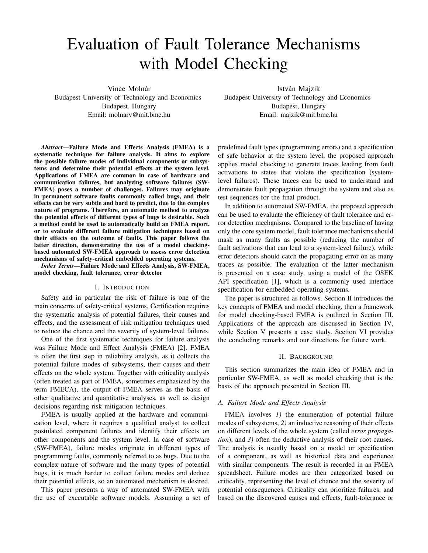# Evaluation of Fault Tolerance Mechanisms with Model Checking

Vince Molnár Budapest University of Technology and Economics Budapest, Hungary Email: molnarv@mit.bme.hu

István Majzik Budapest University of Technology and Economics Budapest, Hungary Email: majzik@mit.bme.hu

*Abstract*—Failure Mode and Effects Analysis (FMEA) is a systematic technique for failure analysis. It aims to explore the possible failure modes of individual components or subsystems and determine their potential effects at the system level. Applications of FMEA are common in case of hardware and communication failures, but analyzing software failures (SW-FMEA) poses a number of challenges. Failures may originate in permanent software faults commonly called bugs, and their effects can be very subtle and hard to predict, due to the complex nature of programs. Therefore, an automatic method to analyze the potential effects of different types of bugs is desirable. Such a method could be used to automatically build an FMEA report, or to evaluate different failure mitigation techniques based on their effects on the outcome of faults. This paper follows the latter direction, demonstrating the use of a model checkingbased automated SW-FMEA approach to assess error detection mechanisms of safety-critical embedded operating systems.

*Index Terms*—Failure Mode and Effects Analysis, SW-FMEA, model checking, fault tolerance, error detector

## I. INTRODUCTION

Safety and in particular the risk of failure is one of the main concerns of safety-critical systems. Certification requires the systematic analysis of potential failures, their causes and effects, and the assessment of risk mitigation techniques used to reduce the chance and the severity of system-level failures.

One of the first systematic techniques for failure analysis was Failure Mode and Effect Analysis (FMEA) [2]. FMEA is often the first step in reliability analysis, as it collects the potential failure modes of subsystems, their causes and their effects on the whole system. Together with criticality analysis (often treated as part of FMEA, sometimes emphasized by the term FMECA), the output of FMEA serves as the basis of other qualitative and quantitative analyses, as well as design decisions regarding risk mitigation techniques.

FMEA is usually applied at the hardware and communication level, where it requires a qualified analyst to collect postulated component failures and identify their effects on other components and the system level. In case of software (SW-FMEA), failure modes originate in different types of programming faults, commonly referred to as bugs. Due to the complex nature of software and the many types of potential bugs, it is much harder to collect failure modes and deduce their potential effects, so an automated mechanism is desired.

This paper presents a way of automated SW-FMEA with the use of executable software models. Assuming a set of predefined fault types (programming errors) and a specification of safe behavior at the system level, the proposed approach applies model checking to generate traces leading from fault activations to states that violate the specification (systemlevel failures). These traces can be used to understand and demonstrate fault propagation through the system and also as test sequences for the final product.

In addition to automated SW-FMEA, the proposed approach can be used to evaluate the efficiency of fault tolerance and error detection mechanisms. Compared to the baseline of having only the core system model, fault tolerance mechanisms should mask as many faults as possible (reducing the number of fault activations that can lead to a system-level failure), while error detectors should catch the propagating error on as many traces as possible. The evaluation of the latter mechanism is presented on a case study, using a model of the OSEK API specification [1], which is a commonly used interface specification for embedded operating systems.

The paper is structured as follows. Section II introduces the key concepts of FMEA and model checking, then a framework for model checking-based FMEA is outlined in Section III. Applications of the approach are discussed in Section IV, while Section V presents a case study. Section VI provides the concluding remarks and our directions for future work.

# II. BACKGROUND

This section summarizes the main idea of FMEA and in particular SW-FMEA, as well as model checking that is the basis of the approach presented in Section III.

# *A. Failure Mode and Effects Analysis*

FMEA involves *1)* the enumeration of potential failure modes of subsystems, *2)* an inductive reasoning of their effects on different levels of the whole system (called *error propagation*), and *3)* often the deductive analysis of their root causes. The analysis is usually based on a model or specification of a component, as well as historical data and experience with similar components. The result is recorded in an FMEA spreadsheet. Failure modes are then categorized based on criticality, representing the level of chance and the severity of potential consequences. Criticality can prioritize failures, and based on the discovered causes and effects, fault-tolerance or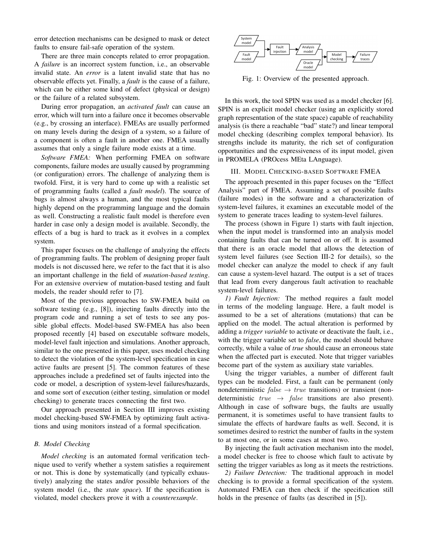error detection mechanisms can be designed to mask or detect faults to ensure fail-safe operation of the system.

There are three main concepts related to error propagation. A *failure* is an incorrect system function, i.e., an observable invalid state. An *error* is a latent invalid state that has no observable effects yet. Finally, a *fault* is the cause of a failure, which can be either some kind of defect (physical or design) or the failure of a related subsystem.

During error propagation, an *activated fault* can cause an error, which will turn into a failure once it becomes observable (e.g., by crossing an interface). FMEAs are usually performed on many levels during the design of a system, so a failure of a component is often a fault in another one. FMEA usually assumes that only a single failure mode exists at a time.

*Software FMEA:* When performing FMEA on software components, failure modes are usually caused by programming (or configuration) errors. The challenge of analyzing them is twofold. First, it is very hard to come up with a realistic set of programming faults (called a *fault model*). The source of bugs is almost always a human, and the most typical faults highly depend on the programming language and the domain as well. Constructing a realistic fault model is therefore even harder in case only a design model is available. Secondly, the effects of a bug is hard to track as it evolves in a complex system.

This paper focuses on the challenge of analyzing the effects of programming faults. The problem of designing proper fault models is not discussed here, we refer to the fact that it is also an important challenge in the field of *mutation-based testing*. For an extensive overview of mutation-based testing and fault models, the reader should refer to [7].

Most of the previous approaches to SW-FMEA build on software testing (e.g., [8]), injecting faults directly into the program code and running a set of tests to see any possible global effects. Model-based SW-FMEA has also been proposed recently [4] based on executable software models, model-level fault injection and simulations. Another approach, similar to the one presented in this paper, uses model checking to detect the violation of the system-level specification in case active faults are present [5]. The common features of these approaches include a predefined set of faults injected into the code or model, a description of system-level failures/hazards, and some sort of execution (either testing, simulation or model checking) to generate traces connecting the first two.

Our approach presented in Section III improves existing model checking-based SW-FMEA by optimizing fault activations and using monitors instead of a formal specification.

# *B. Model Checking*

*Model checking* is an automated formal verification technique used to verify whether a system satisfies a requirement or not. This is done by systematically (and typically exhaustively) analyzing the states and/or possible behaviors of the system model (i.e., the *state space*). If the specification is violated, model checkers prove it with a *counterexample*.



Fig. 1: Overview of the presented approach.

In this work, the tool SPIN was used as a model checker [6]. SPIN is an explicit model checker (using an explicitly stored graph representation of the state space) capable of reachability analysis (is there a reachable "bad" state?) and linear temporal model checking (describing complex temporal behavior). Its strengths include its maturity, the rich set of configuration opportunities and the expressiveness of its input model, given in PROMELA (PROcess MEta LAnguage).

### III. MODEL CHECKING-BASED SOFTWARE FMEA

The approach presented in this paper focuses on the "Effect Analysis" part of FMEA. Assuming a set of possible faults (failure modes) in the software and a characterization of system-level failures, it examines an executable model of the system to generate traces leading to system-level failures.

The process (shown in Figure 1) starts with fault injection, when the input model is transformed into an analysis model containing faults that can be turned on or off. It is assumed that there is an oracle model that allows the detection of system level failures (see Section III-2 for details), so the model checker can analyze the model to check if any fault can cause a system-level hazard. The output is a set of traces that lead from every dangerous fault activation to reachable system-level failures.

*1) Fault Injection:* The method requires a fault model in terms of the modeling language. Here, a fault model is assumed to be a set of alterations (mutations) that can be applied on the model. The actual alteration is performed by adding a *trigger variable* to activate or deactivate the fault, i.e., with the trigger variable set to *false*, the model should behave correctly, while a value of *true* should cause an erroneous state when the affected part is executed. Note that trigger variables become part of the system as auxiliary state variables.

Using the trigger variables, a number of different fault types can be modeled. First, a fault can be permanent (only nondeterministic  $false \rightarrow true$  transitions) or transient (nondeterministic  $true \rightarrow false$  transitions are also present). Although in case of software bugs, the faults are usually permanent, it is sometimes useful to have transient faults to simulate the effects of hardware faults as well. Second, it is sometimes desired to restrict the number of faults in the system to at most one, or in some cases at most two.

By injecting the fault activation mechanism into the model, a model checker is free to choose which fault to activate by setting the trigger variables as long as it meets the restrictions.

*2) Failure Detection:* The traditional approach in model checking is to provide a formal specification of the system. Automated FMEA can then check if the specification still holds in the presence of faults (as described in [5]).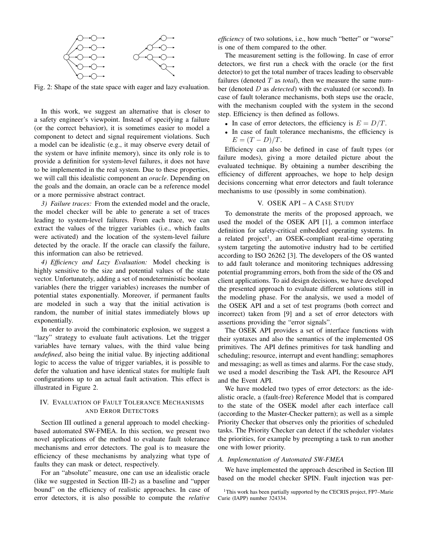

Fig. 2: Shape of the state space with eager and lazy evaluation.

In this work, we suggest an alternative that is closer to a safety engineer's viewpoint. Instead of specifying a failure (or the correct behavior), it is sometimes easier to model a component to detect and signal requirement violations. Such a model can be idealistic (e.g., it may observe every detail of the system or have infinite memory), since its only role is to provide a definition for system-level failures, it does not have to be implemented in the real system. Due to these properties, we will call this idealistic component an *oracle*. Depending on the goals and the domain, an oracle can be a reference model or a more permissive abstract contract.

*3) Failure traces:* From the extended model and the oracle, the model checker will be able to generate a set of traces leading to system-level failures. From each trace, we can extract the values of the trigger variables (i.e., which faults were activated) and the location of the system-level failure detected by the oracle. If the oracle can classify the failure, this information can also be retrieved.

*4) Efficiency and Lazy Evaluation:* Model checking is highly sensitive to the size and potential values of the state vector. Unfortunately, adding a set of nondeterministic boolean variables (here the trigger variables) increases the number of potential states exponentially. Moreover, if permanent faults are modeled in such a way that the initial activation is random, the number of initial states immediately blows up exponentially.

In order to avoid the combinatoric explosion, we suggest a "lazy" strategy to evaluate fault activations. Let the trigger variables have ternary values, with the third value being *undefined*, also being the initial value. By injecting additional logic to access the value of trigger variables, it is possible to defer the valuation and have identical states for multiple fault configurations up to an actual fault activation. This effect is illustrated in Figure 2.

# IV. EVALUATION OF FAULT TOLERANCE MECHANISMS AND ERROR DETECTORS

Section III outlined a general approach to model checkingbased automated SW-FMEA. In this section, we present two novel applications of the method to evaluate fault tolerance mechanisms and error detectors. The goal is to measure the efficiency of these mechanisms by analyzing what type of faults they can mask or detect, respectively.

For an "absolute" measure, one can use an idealistic oracle (like we suggested in Section III-2) as a baseline and "upper bound" on the efficiency of realistic approaches. In case of error detectors, it is also possible to compute the *relative*

*efficiency* of two solutions, i.e., how much "better" or "worse" is one of them compared to the other.

The measurement setting is the following. In case of error detectors, we first run a check with the oracle (or the first detector) to get the total number of traces leading to observable failures (denoted T as *total*), then we measure the same number (denoted D as *detected*) with the evaluated (or second). In case of fault tolerance mechanisms, both steps use the oracle, with the mechanism coupled with the system in the second step. Efficiency is then defined as follows.

- In case of error detectors, the efficiency is  $E = D/T$ .
- In case of fault tolerance mechanisms, the efficiency is  $E = (T - D)/T$ .

Efficiency can also be defined in case of fault types (or failure modes), giving a more detailed picture about the evaluated technique. By obtaining a number describing the efficiency of different approaches, we hope to help design decisions concerning what error detectors and fault tolerance mechanisms to use (possibly in some combination).

# V. OSEK API – A CASE STUDY

To demonstrate the merits of the proposed approach, we used the model of the OSEK API [1], a common interface definition for safety-critical embedded operating systems. In a related project<sup>1</sup>, an OSEK-compliant real-time operating system targeting the automotive industry had to be certified according to ISO 26262 [3]. The developers of the OS wanted to add fault tolerance and monitoring techniques addressing potential programming errors, both from the side of the OS and client applications. To aid design decisions, we have developed the presented approach to evaluate different solutions still in the modeling phase. For the analysis, we used a model of the OSEK API and a set of test programs (both correct and incorrect) taken from [9] and a set of error detectors with assertions providing the "error signals".

The OSEK API provides a set of interface functions with their syntaxes and also the semantics of the implemented OS primitives. The API defines primitives for task handling and scheduling; resource, interrupt and event handling; semaphores and messaging; as well as times and alarms. For the case study, we used a model describing the Task API, the Resource API and the Event API.

We have modeled two types of error detectors: as the idealistic oracle, a (fault-free) Reference Model that is compared to the state of the OSEK model after each interface call (according to the Master-Checker pattern); as well as a simple Priority Checker that observes only the priorities of scheduled tasks. The Priority Checker can detect if the scheduler violates the priorities, for example by preempting a task to run another one with lower priority.

# *A. Implementation of Automated SW-FMEA*

We have implemented the approach described in Section III based on the model checker SPIN. Fault injection was per-

<sup>&</sup>lt;sup>1</sup>This work has been partially supported by the CECRIS project, FP7–Marie Curie (IAPP) number 324334.